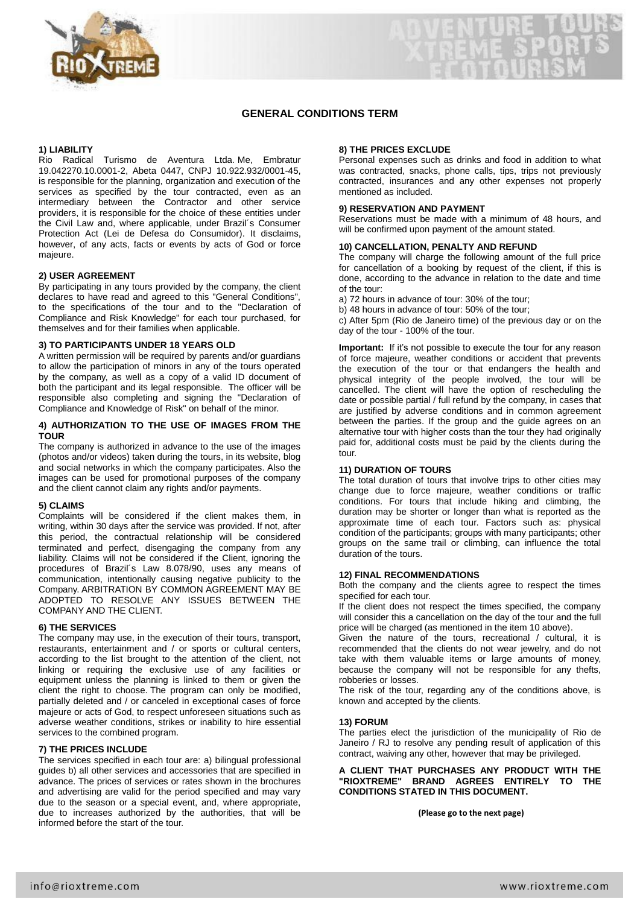

## **GENERAL CONDITIONS TERM**

### **1) LIABILITY**

Rio Radical Turismo de Aventura Ltda. Me, Embratur 19.042270.10.0001-2, Abeta 0447, CNPJ 10.922.932/0001-45, is responsible for the planning, organization and execution of the services as specified by the tour contracted, even as an intermediary between the Contractor and other service providers, it is responsible for the choice of these entities under the Civil Law and, where applicable, under Brazil´s Consumer Protection Act (Lei de Defesa do Consumidor). It disclaims, however, of any acts, facts or events by acts of God or force majeure.

### **2) USER AGREEMENT**

By participating in any tours provided by the company, the client declares to have read and agreed to this "General Conditions", to the specifications of the tour and to the "Declaration of Compliance and Risk Knowledge" for each tour purchased, for themselves and for their families when applicable.

### **3) TO PARTICIPANTS UNDER 18 YEARS OLD**

A written permission will be required by parents and/or guardians to allow the participation of minors in any of the tours operated by the company, as well as a copy of a valid ID document of both the participant and its legal responsible. The officer will be responsible also completing and signing the "Declaration of Compliance and Knowledge of Risk" on behalf of the minor.

### **4) AUTHORIZATION TO THE USE OF IMAGES FROM THE TOUR**

The company is authorized in advance to the use of the images (photos and/or videos) taken during the tours, in its website, blog and social networks in which the company participates. Also the images can be used for promotional purposes of the company and the client cannot claim any rights and/or payments.

### **5) CLAIMS**

Complaints will be considered if the client makes them, in writing, within 30 days after the service was provided. If not, after this period, the contractual relationship will be considered terminated and perfect, disengaging the company from any liability. Claims will not be considered if the Client, ignoring the procedures of Brazil´s Law 8.078/90, uses any means of communication, intentionally causing negative publicity to the Company. ARBITRATION BY COMMON AGREEMENT MAY BE ADOPTED TO RESOLVE ANY ISSUES BETWEEN THE COMPANY AND THE CLIENT.

### **6) THE SERVICES**

The company may use, in the execution of their tours, transport, restaurants, entertainment and / or sports or cultural centers, according to the list brought to the attention of the client, not linking or requiring the exclusive use of any facilities or equipment unless the planning is linked to them or given the client the right to choose. The program can only be modified, partially deleted and / or canceled in exceptional cases of force majeure or acts of God, to respect unforeseen situations such as adverse weather conditions, strikes or inability to hire essential services to the combined program.

### **7) THE PRICES INCLUDE**

The services specified in each tour are: a) bilingual professional guides b) all other services and accessories that are specified in advance. The prices of services or rates shown in the brochures and advertising are valid for the period specified and may vary due to the season or a special event, and, where appropriate, due to increases authorized by the authorities, that will be informed before the start of the tour.

### **8) THE PRICES EXCLUDE**

Personal expenses such as drinks and food in addition to what was contracted, snacks, phone calls, tips, trips not previously contracted, insurances and any other expenses not properly mentioned as included.

### **9) RESERVATION AND PAYMENT**

Reservations must be made with a minimum of 48 hours, and will be confirmed upon payment of the amount stated.

### **10) CANCELLATION, PENALTY AND REFUND**

The company will charge the following amount of the full price for cancellation of a booking by request of the client, if this is done, according to the advance in relation to the date and time of the tour:

a) 72 hours in advance of tour: 30% of the tour;

b) 48 hours in advance of tour: 50% of the tour;

c) After 5pm (Rio de Janeiro time) of the previous day or on the day of the tour - 100% of the tour.

**Important:** If it's not possible to execute the tour for any reason of force majeure, weather conditions or accident that prevents the execution of the tour or that endangers the health and physical integrity of the people involved, the tour will be cancelled. The client will have the option of rescheduling the date or possible partial / full refund by the company, in cases that are justified by adverse conditions and in common agreement between the parties. If the group and the guide agrees on an alternative tour with higher costs than the tour they had originally paid for, additional costs must be paid by the clients during the tour.

#### **11) DURATION OF TOURS**

The total duration of tours that involve trips to other cities may change due to force majeure, weather conditions or traffic conditions. For tours that include hiking and climbing, the duration may be shorter or longer than what is reported as the approximate time of each tour. Factors such as: physical condition of the participants; groups with many participants; other groups on the same trail or climbing, can influence the total duration of the tours.

### **12) FINAL RECOMMENDATIONS**

Both the company and the clients agree to respect the times specified for each tour.

If the client does not respect the times specified, the company will consider this a cancellation on the day of the tour and the full price will be charged (as mentioned in the item 10 above).

Given the nature of the tours, recreational / cultural, it is recommended that the clients do not wear jewelry, and do not take with them valuable items or large amounts of money, because the company will not be responsible for any thefts, robberies or losses.

The risk of the tour, regarding any of the conditions above, is known and accepted by the clients.

#### **13) FORUM**

The parties elect the jurisdiction of the municipality of Rio de Janeiro / RJ to resolve any pending result of application of this contract, waiving any other, however that may be privileged.

### **A CLIENT THAT PURCHASES ANY PRODUCT WITH THE "RIOXTREME" BRAND AGREES ENTIRELY TO THE CONDITIONS STATED IN THIS DOCUMENT.**

**(Please go to the next page)**